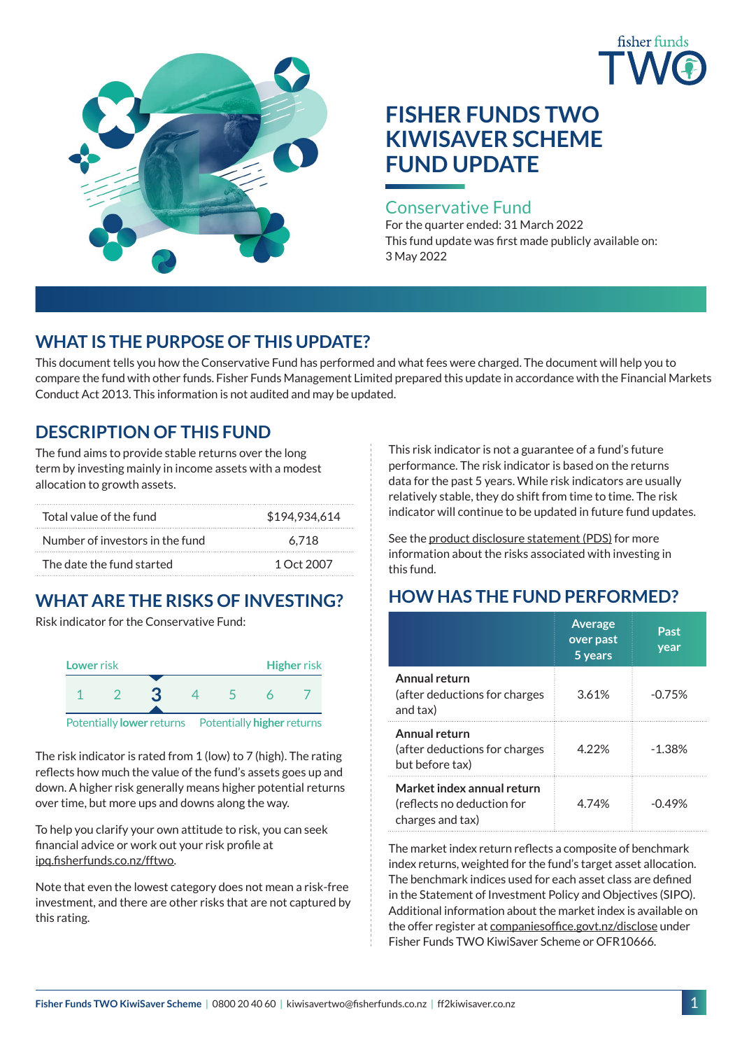



# **FISHER FUNDS TWO KIWISAVER SCHEME FUND UPDATE**

## Conservative Fund

For the quarter ended: 31 March 2022 This fund update was first made publicly available on: 3 May 2022

## **WHAT IS THE PURPOSE OF THIS UPDATE?**

This document tells you how the Conservative Fund has performed and what fees were charged. The document will help you to compare the fund with other funds. Fisher Funds Management Limited prepared this update in accordance with the Financial Markets Conduct Act 2013. This information is not audited and may be updated.

## **DESCRIPTION OF THIS FUND**

The fund aims to provide stable returns over the long term by investing mainly in income assets with a modest allocation to growth assets.

| Total value of the fund         | \$194.934.614 |
|---------------------------------|---------------|
| Number of investors in the fund | 6.718         |
| The date the fund started       | 1 Oct 2007    |

# **WHAT ARE THE RISKS OF INVESTING?**

Risk indicator for the Conservative Fund:



The risk indicator is rated from 1 (low) to 7 (high). The rating reflects how much the value of the fund's assets goes up and

down. A higher risk generally means higher potential returns over time, but more ups and downs along the way.

To help you clarify your own attitude to risk, you can seek financial advice or work out your risk profile at [ipq.fisherfunds.co.nz/fftwo](https://ipq.fisherfunds.co.nz/fftwo).

Note that even the lowest category does not mean a risk-free investment, and there are other risks that are not captured by this rating.

This risk indicator is not a guarantee of a fund's future performance. The risk indicator is based on the returns data for the past 5 years. While risk indicators are usually relatively stable, they do shift from time to time. The risk indicator will continue to be updated in future fund updates.

See the [product disclosure statement \(PDS\)](http://ff2kiwisaver.co.nz/assets/Documents/Fisher-Funds-TWO-KiwiSaver-Scheme-PDS.pdf) for more information about the risks associated with investing in this fund.

## **HOW HAS THE FUND PERFORMED?**

|                                                                              | <b>Average</b><br>over past<br>5 years | Past<br>year |
|------------------------------------------------------------------------------|----------------------------------------|--------------|
| Annual return<br>(after deductions for charges<br>and tax)                   | 3.61%                                  | $-0.75%$     |
| Annual return<br>(after deductions for charges<br>but before tax)            | 4 22%                                  | $-1.38%$     |
| Market index annual return<br>(reflects no deduction for<br>charges and tax) | 4 74%                                  | -049%        |

The market index return reflects a composite of benchmark index returns, weighted for the fund's target asset allocation. The benchmark indices used for each asset class are defined in the Statement of Investment Policy and Objectives (SIPO). Additional information about the market index is available on the offer register at [companiesoffice.govt.nz/disclose](http://companiesoffice.govt.nz/disclose) under Fisher Funds TWO KiwiSaver Scheme or OFR10666.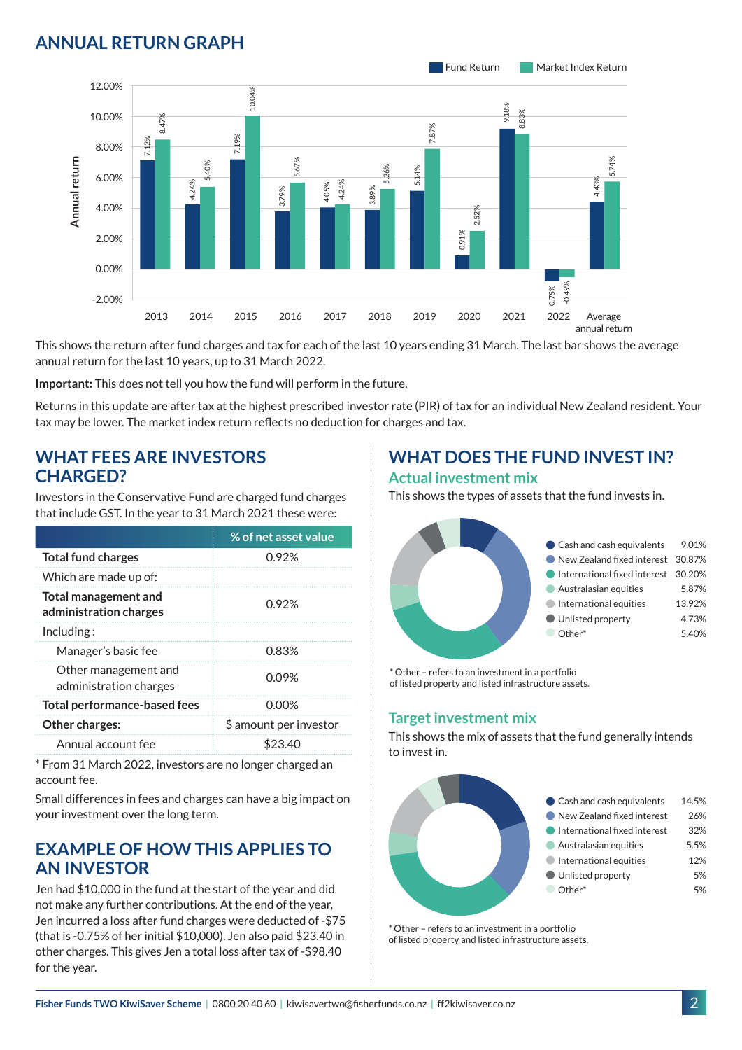## **ANNUAL RETURN GRAPH**



This shows the return after fund charges and tax for each of the last 10 years ending 31 March. The last bar shows the average annual return for the last 10 years, up to 31 March 2022.

**Important:** This does not tell you how the fund will perform in the future.

Returns in this update are after tax at the highest prescribed investor rate (PIR) of tax for an individual New Zealand resident. Your tax may be lower. The market index return reflects no deduction for charges and tax.

#### **WHAT FEES ARE INVESTORS CHARGED?**

Investors in the Conservative Fund are charged fund charges that include GST. In the year to 31 March 2021 these were:

|                                                | % of net asset value   |
|------------------------------------------------|------------------------|
| <b>Total fund charges</b>                      | 0.92%                  |
| Which are made up of:                          |                        |
| Total management and<br>administration charges | 0.92%                  |
| Inding:                                        |                        |
| Manager's basic fee                            | 0.83%                  |
| Other management and<br>administration charges | 0.09%                  |
| <b>Total performance-based fees</b>            | 0.00%                  |
| Other charges:                                 | \$ amount per investor |
| Annual account fee                             | \$23.40                |

\* From 31 March 2022, investors are no longer charged an account fee.

Small differences in fees and charges can have a big impact on your investment over the long term.

## **EXAMPLE OF HOW THIS APPLIES TO AN INVESTOR**

Jen had \$10,000 in the fund at the start of the year and did not make any further contributions. At the end of the year, Jen incurred a loss after fund charges were deducted of -\$75 (that is -0.75% of her initial \$10,000). Jen also paid \$23.40 in other charges. This gives Jen a total loss after tax of -\$98.40 for the year.

# **WHAT DOES THE FUND INVEST IN?**

#### **Actual investment mix**

This shows the types of assets that the fund invests in.



\* Other – refers to an investment in a portfolio of listed property and listed infrastructure assets.

#### **Target investment mix**

This shows the mix of assets that the fund generally intends to invest in.



\* Other – refers to an investment in a portfolio of listed property and listed infrastructure assets.